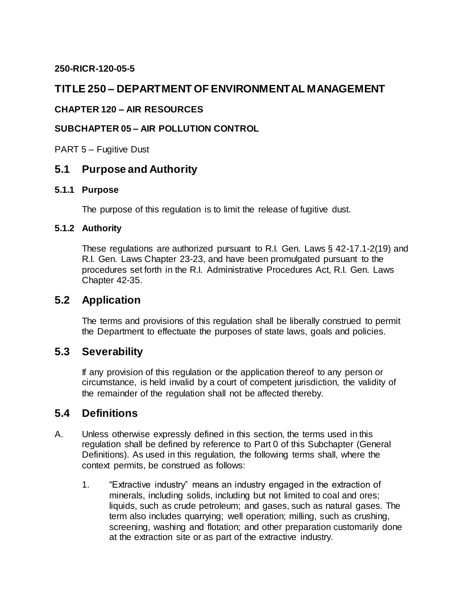### **250-RICR-120-05-5**

# **TITLE 250 – DEPARTMENT OF ENVIRONMENTAL MANAGEMENT**

### **CHAPTER 120 – AIR RESOURCES**

### **SUBCHAPTER 05 – AIR POLLUTION CONTROL**

PART 5 – Fugitive Dust

## **5.1 Purpose and Authority**

#### **5.1.1 Purpose**

The purpose of this regulation is to limit the release of fugitive dust.

#### **5.1.2 Authority**

These regulations are authorized pursuant to R.I. Gen. Laws § 42-17.1-2(19) and R.I. Gen. Laws Chapter 23-23, and have been promulgated pursuant to the procedures set forth in the R.I. Administrative Procedures Act, R.I. Gen. Laws Chapter 42-35.

## **5.2 Application**

The terms and provisions of this regulation shall be liberally construed to permit the Department to effectuate the purposes of state laws, goals and policies.

## **5.3 Severability**

If any provision of this regulation or the application thereof to any person or circumstance, is held invalid by a court of competent jurisdiction, the validity of the remainder of the regulation shall not be affected thereby.

### **5.4 Definitions**

- A. Unless otherwise expressly defined in this section, the terms used in this regulation shall be defined by reference to Part 0 of this Subchapter (General Definitions). As used in this regulation, the following terms shall, where the context permits, be construed as follows:
	- 1. "Extractive industry" means an industry engaged in the extraction of minerals, including solids, including but not limited to coal and ores; liquids, such as crude petroleum; and gases, such as natural gases. The term also includes quarrying; well operation; milling, such as crushing, screening, washing and flotation; and other preparation customarily done at the extraction site or as part of the extractive industry.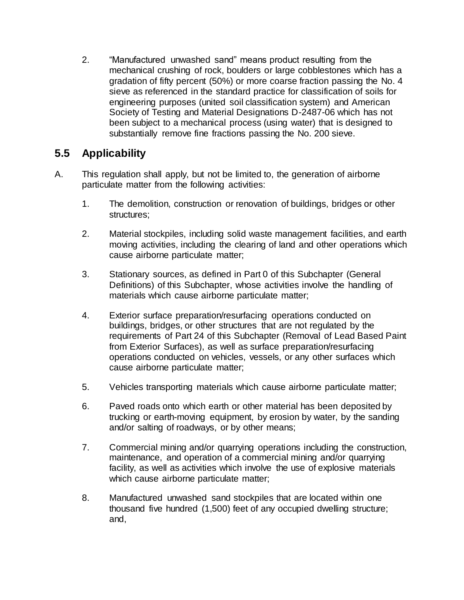2. "Manufactured unwashed sand" means product resulting from the mechanical crushing of rock, boulders or large cobblestones which has a gradation of fifty percent (50%) or more coarse fraction passing the No. 4 sieve as referenced in the standard practice for classification of soils for engineering purposes (united soil classification system) and American Society of Testing and Material Designations D-2487-06 which has not been subject to a mechanical process (using water) that is designed to substantially remove fine fractions passing the No. 200 sieve.

# **5.5 Applicability**

- A. This regulation shall apply, but not be limited to, the generation of airborne particulate matter from the following activities:
	- 1. The demolition, construction or renovation of buildings, bridges or other structures;
	- 2. Material stockpiles, including solid waste management facilities, and earth moving activities, including the clearing of land and other operations which cause airborne particulate matter;
	- 3. Stationary sources, as defined in Part 0 of this Subchapter (General Definitions) of this Subchapter, whose activities involve the handling of materials which cause airborne particulate matter;
	- 4. Exterior surface preparation/resurfacing operations conducted on buildings, bridges, or other structures that are not regulated by the requirements of Part 24 of this Subchapter (Removal of Lead Based Paint from Exterior Surfaces), as well as surface preparation/resurfacing operations conducted on vehicles, vessels, or any other surfaces which cause airborne particulate matter;
	- 5. Vehicles transporting materials which cause airborne particulate matter;
	- 6. Paved roads onto which earth or other material has been deposited by trucking or earth-moving equipment, by erosion by water, by the sanding and/or salting of roadways, or by other means;
	- 7. Commercial mining and/or quarrying operations including the construction, maintenance, and operation of a commercial mining and/or quarrying facility, as well as activities which involve the use of explosive materials which cause airborne particulate matter;
	- 8. Manufactured unwashed sand stockpiles that are located within one thousand five hundred (1,500) feet of any occupied dwelling structure; and,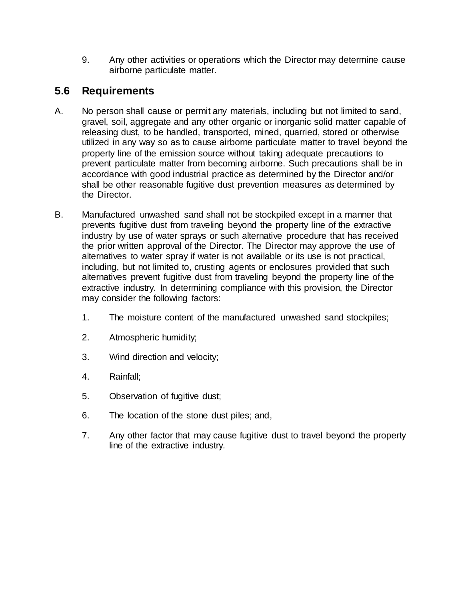9. Any other activities or operations which the Director may determine cause airborne particulate matter.

# **5.6 Requirements**

- A. No person shall cause or permit any materials, including but not limited to sand, gravel, soil, aggregate and any other organic or inorganic solid matter capable of releasing dust, to be handled, transported, mined, quarried, stored or otherwise utilized in any way so as to cause airborne particulate matter to travel beyond the property line of the emission source without taking adequate precautions to prevent particulate matter from becoming airborne. Such precautions shall be in accordance with good industrial practice as determined by the Director and/or shall be other reasonable fugitive dust prevention measures as determined by the Director.
- B. Manufactured unwashed sand shall not be stockpiled except in a manner that prevents fugitive dust from traveling beyond the property line of the extractive industry by use of water sprays or such alternative procedure that has received the prior written approval of the Director. The Director may approve the use of alternatives to water spray if water is not available or its use is not practical, including, but not limited to, crusting agents or enclosures provided that such alternatives prevent fugitive dust from traveling beyond the property line of the extractive industry. In determining compliance with this provision, the Director may consider the following factors:
	- 1. The moisture content of the manufactured unwashed sand stockpiles;
	- 2. Atmospheric humidity;
	- 3. Wind direction and velocity;
	- 4. Rainfall;
	- 5. Observation of fugitive dust;
	- 6. The location of the stone dust piles; and,
	- 7. Any other factor that may cause fugitive dust to travel beyond the property line of the extractive industry.